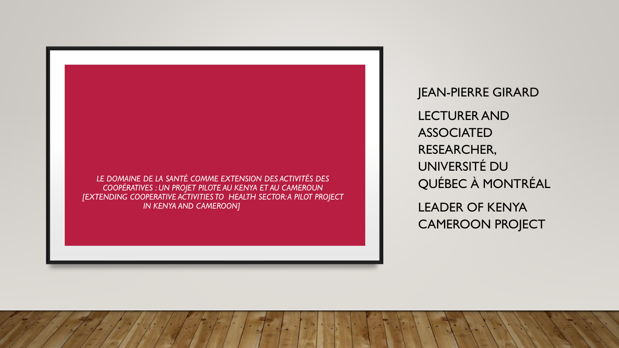

JEAN-PIERRE GIRARD LECTURERAND ASSOCIATED RESEARCHER, UNIVERSITÉ DU QUÉBEC À MONTRÉAL LEADER OF KENYA CAMEROON PROJECT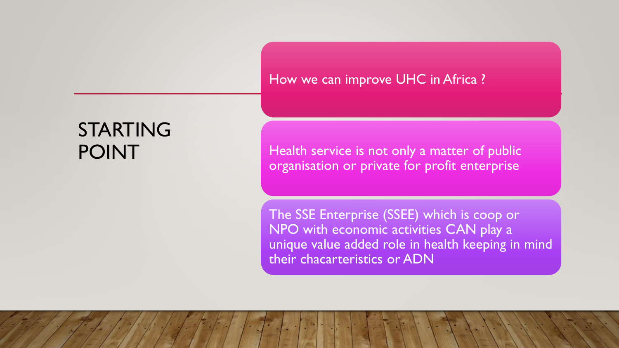### How we can improve UHC in Africa ?

# STARTING POINT

Health service is not only a matter of public organisation or private for profit enterprise

The SSE Enterprise (SSEE) which is coop or NPO with economic activities CAN play a unique value added role in health keeping in mind their chacarteristics or ADN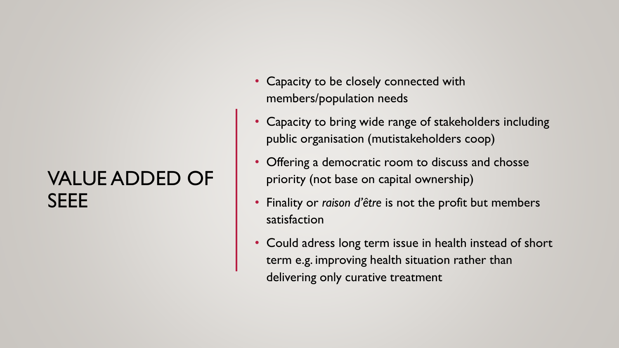# VALUE ADDED OF **SEEE**

- Capacity to be closely connected with members/population needs
- Capacity to bring wide range of stakeholders including public organisation (mutistakeholders coop)
- Offering a democratic room to discuss and chosse priority (not base on capital ownership)
- Finality or *raison d'être* is not the profit but members satisfaction
- Could adress long term issue in health instead of short term e.g. improving health situation rather than delivering only curative treatment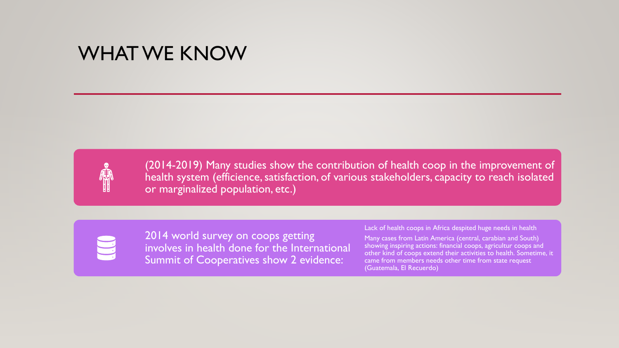### WHAT WE KNOW



(2014-2019) Many studies show the contribution of health coop in the improvement of health system (efficience, satisfaction, of various stakeholders, capacity to reach isolated or marginalized population, etc.)

2014 world survey on coops getting involves in health done for the International Summit of Cooperatives show 2 evidence:

#### Lack of health coops in Africa despited huge needs in health

Many cases from Latin America (central, carabian and South) showing inspiring actions: financial coops, agricultur coops and other kind of coops extend their activities to health. Sometime, it came from members needs other time from state request (Guatemala, El Recuerdo)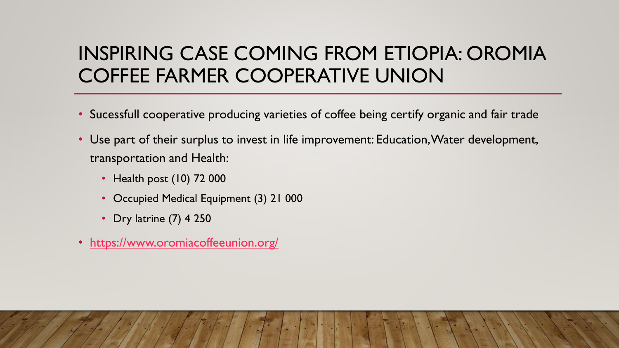### INSPIRING CASE COMING FROM ETIOPIA: OROMIA COFFEE FARMER COOPERATIVE UNION

- Sucessfull cooperative producing varieties of coffee being certify organic and fair trade
- Use part of their surplus to invest in life improvement: Education, Water development, transportation and Health:
	- Health post (10) 72 000
	- Occupied Medical Equipment (3) 21 000
	- Dry latrine (7) 4 250
- <https://www.oromiacoffeeunion.org/>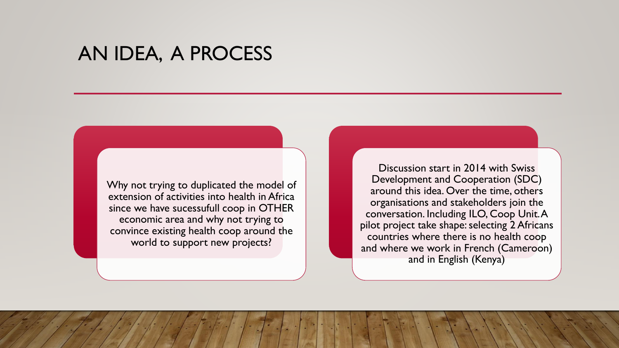### AN IDEA, A PROCESS

Why not trying to duplicated the model of extension of activities into health in Africa since we have sucessufull coop in OTHER economic area and why not trying to convince existing health coop around the world to support new projects?

Discussion start in 2014 with Swiss Development and Cooperation (SDC) around this idea. Over the time, others organisations and stakeholders join the conversation. Including ILO, Coop Unit. A pilot project take shape: selecting 2 Africans countries where there is no health coop and where we work in French (Cameroon) and in English (Kenya)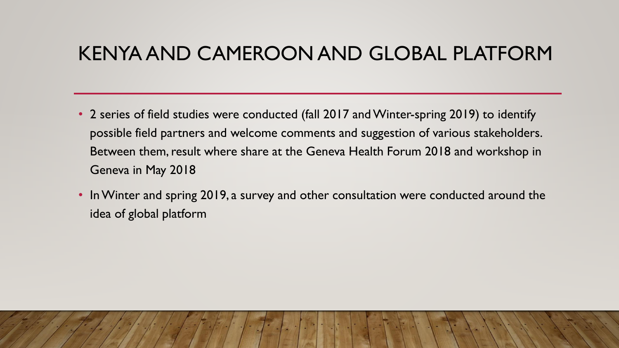### KENYA AND CAMEROON AND GLOBAL PLATFORM

- 2 series of field studies were conducted (fall 2017 and Winter-spring 2019) to identify possible field partners and welcome comments and suggestion of various stakeholders. Between them, result where share at the Geneva Health Forum 2018 and workshop in Geneva in May 2018
- In Winter and spring 2019, a survey and other consultation were conducted around the idea of global platform